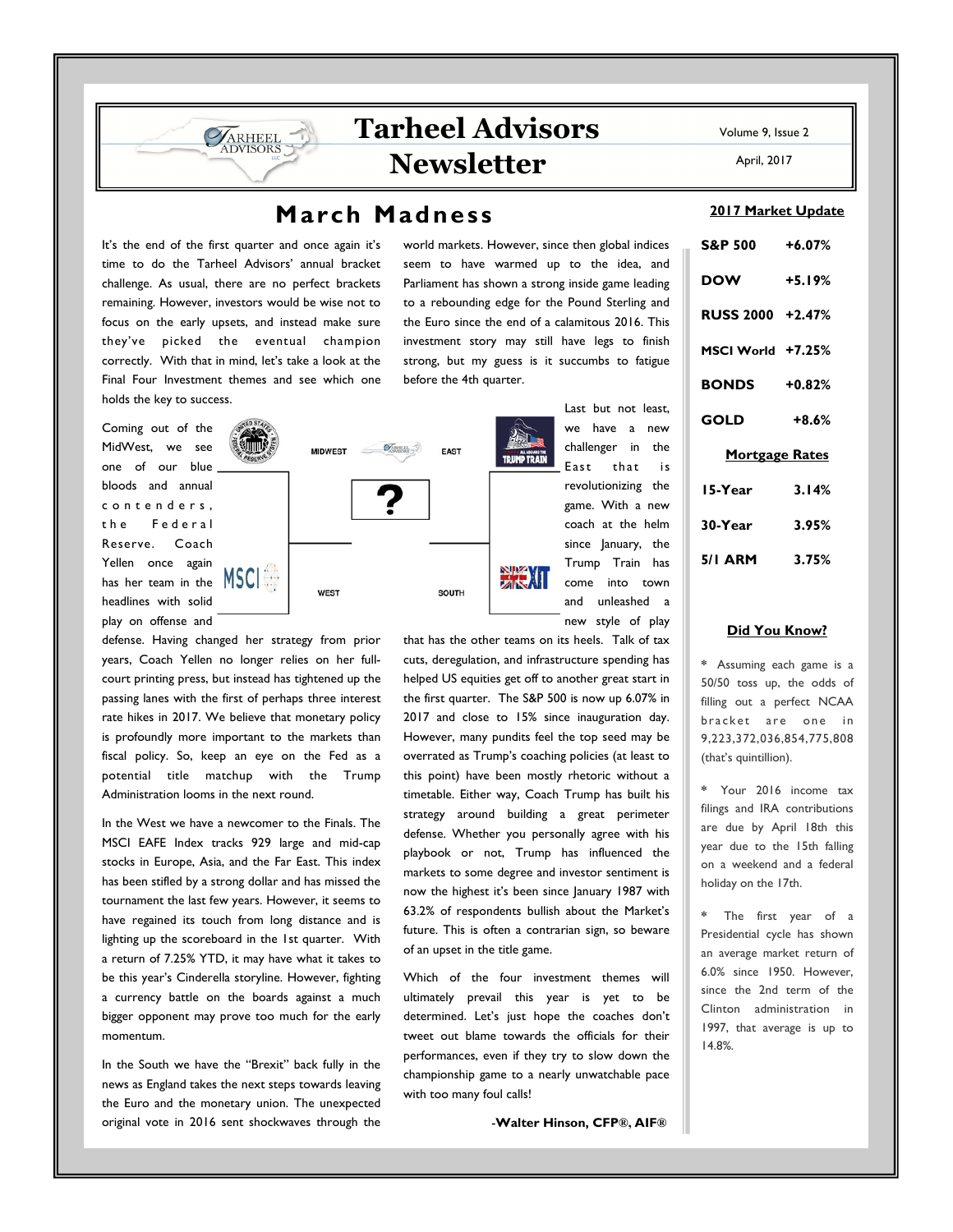# **March Madness**

It's the end of the first quarter and once again it's time to do the Tarheel Advisors' annual bracket challenge. As usual, there are no perfect brackets remaining. However, investors would be wise not to focus on the early upsets, and instead make sure they've picked the eventual champion correctly. With that in mind, let's take a look at the Final Four Investment themes and see which one holds the key to success.

ARHEEL **DVISORS** 

Coming out of the MidWest, we see one of our blue bloods and annual c o n t e n d e r s , the Federal Reserve. Coach Yellen once again has her team in the headlines with solid play on offense and

defense. Having changed her strategy from prior years, Coach Yellen no longer relies on her fullcourt printing press, but instead has tightened up the passing lanes with the first of perhaps three interest rate hikes in 2017. We believe that monetary policy is profoundly more important to the markets than fiscal policy. So, keep an eye on the Fed as a potential title matchup with the Trump Administration looms in the next round.

In the West we have a newcomer to the Finals. The MSCI EAFE Index tracks 929 large and mid-cap stocks in Europe, Asia, and the Far East. This index has been stifled by a strong dollar and has missed the tournament the last few years. However, it seems to have regained its touch from long distance and is lighting up the scoreboard in the 1st quarter. With a return of 7.25% YTD, it may have what it takes to be this year's Cinderella storyline. However, fighting a currency battle on the boards against a much bigger opponent may prove too much for the early momentum.

In the South we have the "Brexit" back fully in the news as England takes the next steps towards leaving the Euro and the monetary union. The unexpected original vote in 2016 sent shockwaves through the

world markets. However, since then global indices seem to have warmed up to the idea, and Parliament has shown a strong inside game leading to a rebounding edge for the Pound Sterling and the Euro since the end of a calamitous 2016. This investment story may still have legs to finish strong, but my guess is it succumbs to fatigue before the 4th quarter.



Last but not least, we have a new challenger in the East that is revolutionizing the game. With a new coach at the helm since January, the Trump Train has come into town and unleashed a new style of play

that has the other teams on its heels. Talk of tax cuts, deregulation, and infrastructure spending has helped US equities get off to another great start in the first quarter. The S&P 500 is now up 6.07% in 2017 and close to 15% since inauguration day. However, many pundits feel the top seed may be overrated as Trump's coaching policies (at least to this point) have been mostly rhetoric without a timetable. Either way, Coach Trump has built his strategy around building a great perimeter defense. Whether you personally agree with his playbook or not, Trump has influenced the markets to some degree and investor sentiment is now the highest it's been since January 1987 with 63.2% of respondents bullish about the Market's future. This is often a contrarian sign, so beware of an upset in the title game.

Which of the four investment themes will ultimately prevail this year is yet to be determined. Let's just hope the coaches don't tweet out blame towards the officials for their performances, even if they try to slow down the championship game to a nearly unwatchable pace with too many foul calls!

-**Walter Hinson, CFP®, AIF®** 

Volume 9, Issue 2

April, 2017

### **2017 Market Update**

| S&P 500 +6.07%          |          |
|-------------------------|----------|
| <b>DOW</b>              | $+5.19%$ |
| <b>RUSS 2000 +2.47%</b> |          |
| MSCI World +7.25%       |          |
| <b>BONDS</b> +0.82%     |          |
| GOLD                    | $+8.6%$  |
| <b>Mortgage Rates</b>   |          |
| 15-Year                 | 3.14%    |
| 30-Year                 | 3.95%    |
| 5/1 ARM 3.75%           |          |

#### **Did You Know?**

**\*** Assuming each game is a 50/50 toss up, the odds of filling out a perfect NCAA bracket are one in 9,223,372,036,854,775,808 (that's quintillion).

**\*** Your 2016 income tax filings and IRA contributions are due by April 18th this year due to the 15th falling on a weekend and a federal holiday on the 17th.

**\*** The first year of a Presidential cycle has shown an average market return of 6.0% since 1950. However, since the 2nd term of the Clinton administration in 1997, that average is up to 14.8%.